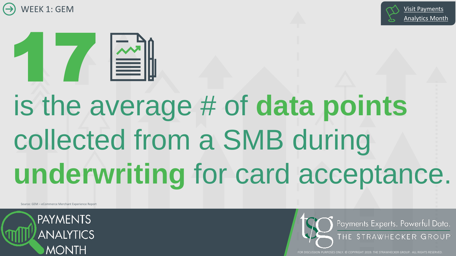





# is the average # of **data points**  collected from a SMB during **underwriting** for card acceptance.

Source: GEM – eCommerce Merchant Experience Report



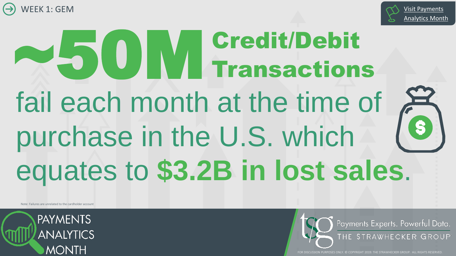



# fail each month at the time of  $f^2$ purchase in the U.S. which equates to **\$3.2B in lost sales**.  $\bullet$  50 M Credit/Debit Transactions

Note: Failures are unrelated to the cardholder account



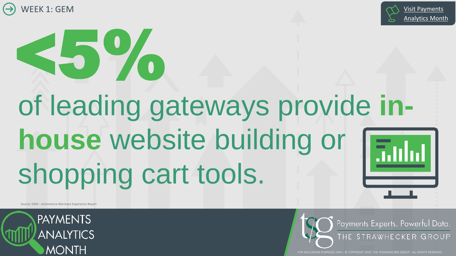

# <5%

# of leading gateways provide **inhouse** website building or shopping cart tools.

Source: GEM – eCommerce Merchant Experience Report

**PAYMENTS ANALYTICS MONTH** 



[Analytics Month](http://webview.thestrawgroup.com/pam19)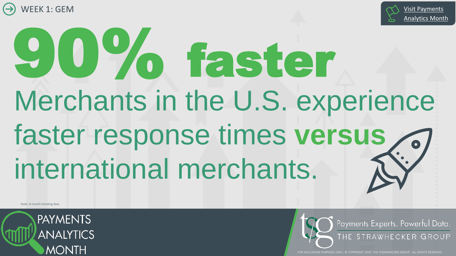



# Merchants in the U.S. experience faster response times **versus** international merchants. 90% faster

Note: 6-month trending data



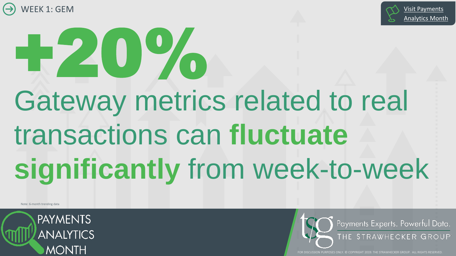



# Gateway metrics related to real transactions can **fluctuate significantly** from week-to-week

Note: 6-month trending data

**PAYMENTS ANALYTICS MONTH** 



[Analytics Month](http://webview.thestrawgroup.com/pam19)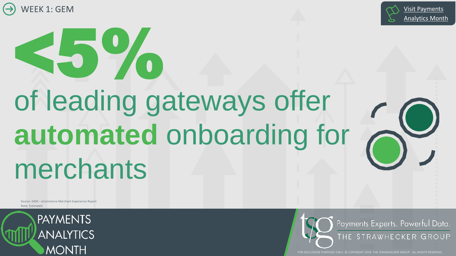

<5%



# of leading gateways offer **automated** onboarding for merchants

Source: GEM – eCommerce Merchant Experience Report Note: Estimated



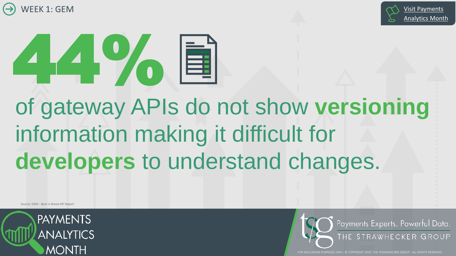





## of gateway APIs do not show **versioning** information making it difficult for **developers** to understand changes.

Source: GEM – Best in Breed API Report



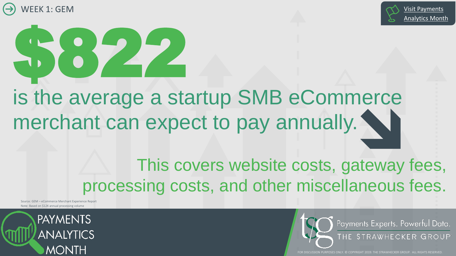





is the average a startup SMB eCommerce merchant can expect to pay annually.

> This covers website costs, gateway fees, processing costs, and other miscellaneous fees.

Source: GEM – eCommerce Merchant Experience Report Note: Based on \$12K annual processing volume



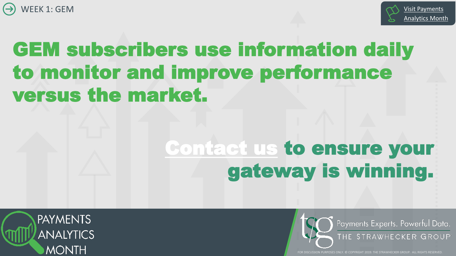



### GEM subscribers use information daily to monitor and improve performance versus the market.

#### [Contact us](mailto:GEM@TheStrawGroup.com?subject=Week%201:%20GEM) to ensure your gateway is winning.

**PAYMENTS ANALYTICS MONTH**